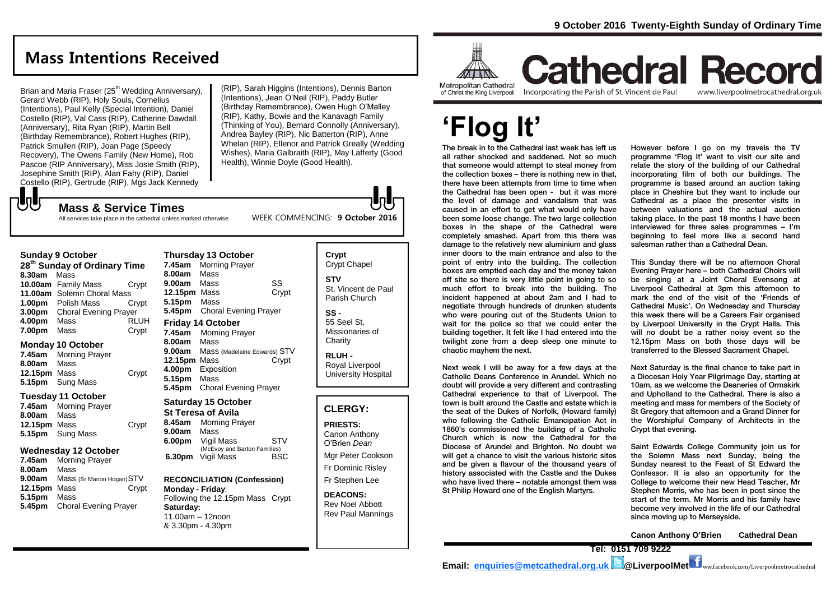# **Mass Intentions Received**

Brian and Maria Fraser (25<sup>th</sup> Wedding Anniversary), Gerard Webb (RIP), Holy Souls, Cornelius (Intentions), Paul Kelly (Special Intention), Daniel Costello (RIP), Val Cass (RIP), Catherine Dawdall (Anniversary), Rita Ryan (RIP), Martin Bell (Birthday Remembrance), Robert Hughes (RIP), Patrick Smullen (RIP), Joan Page (Speedy) Recovery), The Owens Family (New Home), Rob Pascoe (RIP Anniversary), Miss Josie Smith (RIP), Josephine Smith (RIP), Alan Fahy (RIP), Daniel Costello (RIP), Gertrude (RIP), Mgs Jack Kennedy

(RIP), Sarah Higgins (Intentions), Dennis Barton (Intentions), Jean O'Neil (RIP), Paddy Butler (Birthday Remembrance), Owen Hugh O'Malley (RIP), Kathy, Bowie and the Kanavagh Family (Thinking of You), Bernard Connolly (Anniversary), Andrea Bayley (RIP), Nic Batterton (RIP), Anne Whelan (RIP), Ellenor and Patrick Greally (Wedding Wishes), Maria Galbraith (RIP), May Lafferty (Good Health), Winnie Doyle (Good Health).

WEEK COMMENCING: **9 October 2016**

All services take place in the cathedral unless marked otherwise

**Mass & Service Times**

### **Sunday 9 October**

**UU** 

**28th Sunday of Ordinary Time 8.30am** Mass **10.00am** Family Mass Crypt **11.00am** Solemn Choral Mass **1.00pm** Polish Mass Crypt **3.00pm** Choral Evening Prayer **4.00pm** Mass RLUH **7.00pm** Mass **Crypt** 

#### **Monday 10 October**

**7.45am** Morning Prayer **8.00am** Mass **12.15pm** Mass Crypt **5.15pm** Sung Mass

#### **Tuesday 11 October**

**7.45am** Morning Prayer **8.00am** Mass **12.15pm** Mass Crypt **5.15pm** Sung Mass

### **Wednesday 12 October**

**7.45am** Morning Prayer **8.00am** Mass **9.00am** Mass (Sr Marion Hogan)STV **12.15pm** Mass Crypt **5.15pm** Mass **5.45pm** Choral Evening Prayer

### **Thursday 13 October 7.45am** Morning Prayer **8.00am** Mass **9.00am** Mass SS **12.15pm** Mass Crypt **5.15pm** Mass **5.45pm** Choral Evening Prayer **Friday 14 October 7.45am** Morning Prayer **8.00am** Mass **9.00am** Mass (Madelaine Edwards) STV **12.15pm** Mass Crypt

**4.00pm** Exposition **5.15pm** Mass **5.45pm** Choral Evening Prayer

# **Saturday 15 October**

**St Teresa of Avila 8.45am** Morning Prayer **9.00am** Mass **6.00pm** Vigil Mass STV (McEvoy and Barton Families)<br>Vigil Mass BSC **6.30pm** Vigil Mass

#### **RECONCILIATION (Confession) Monday - Friday**: Following the 12.15pm Mass Crypt

**Saturday:** 11.00am – 12noon & 3.30pm - 4.30pm

### **Crypt**  Crypt Chapel **STV** St. Vincent de Paul Parish Church

**SS -** 55 Seel St, Missionaries of **Charity** 

**RLUH -** Royal Liverpool University Hospital

### **CLERGY:**

**PRIESTS:** Canon Anthony O'Brien *Dean* Mgr Peter Cookson Fr Dominic Risley

Fr Stephen Lee

**DEACONS:** Rev Noel Abbott Rev Paul Mannings



# **Cathedral Record** Incorporating the Parish of St. Vincent de Paul

www.liverpoolmetrocathedral.org.uk

# **'Flog It'**

The break in to the Cathedral last week has left us all rather shocked and saddened. Not so much that someone would attempt to steal money from the collection boxes – there is nothing new in that, there have been attempts from time to time when the Cathedral has been open - but it was more the level of damage and vandalism that was caused in an effort to get what would only have been some loose change. The two large collection boxes in the shape of the Cathedral were completely smashed. Apart from this there was damage to the relatively new aluminium and glass inner doors to the main entrance and also to the point of entry into the building. The collection boxes are emptied each day and the money taken off site so there is very little point in going to so much effort to break into the building. The incident happened at about 2am and I had to negotiate through hundreds of drunken students who were pouring out of the Students Union to wait for the police so that we could enter the building together. It felt like I had entered into the twilight zone from a deep sleep one minute to chaotic mayhem the next.

Next week I will be away for a few days at the Catholic Deans Conference in Arundel. Which no doubt will provide a very different and contrasting Cathedral experience to that of Liverpool. The town is built around the Castle and estate which is the seat of the Dukes of Norfolk, (Howard family) who following the Catholic Emancipation Act in 1860's commissioned the building of a Catholic Church which is now the Cathedral for the Diocese of Arundel and Brighton. No doubt we will get a chance to visit the various historic sites and be given a flavour of the thousand years of history associated with the Castle and the Dukes who have lived there – notable amongst them was St Philip Howard one of the English Martyrs.

However before I go on my travels the TV programme 'Flog It' want to visit our site and relate the story of the building of our Cathedral incorporating film of both our buildings. The programme is based around an auction taking place in Cheshire but they want to include our Cathedral as a place the presenter visits in between valuations and the actual auction taking place. In the past 18 months I have been interviewed for three sales programmes – I'm beginning to feel more like a second hand salesman rather than a Cathedral Dean.

This Sunday there will be no afternoon Choral Evening Prayer here – both Cathedral Choirs will be singing at a Joint Choral Evensong at Liverpool Cathedral at 3pm this afternoon to mark the end of the visit of the 'Friends of Cathedral Music'. On Wednesday and Thursday this week there will be a Careers Fair organised by Liverpool University in the Crypt Halls. This will no doubt be a rather noisy event so the 12.15pm Mass on both those days will be transferred to the Blessed Sacrament Chapel.

Next Saturday is the final chance to take part in a Diocesan Holy Year Pilgrimage Day, starting at 10am, as we welcome the Deaneries of Ormskirk and Upholland to the Cathedral. There is also a meeting and mass for members of the Society of St Gregory that afternoon and a Grand Dinner for the Worshipful Company of Architects in the Crypt that evening.

Saint Edwards College Community join us for the Solemn Mass next Sunday, being the Sunday nearest to the Feast of St Edward the Confessor. It is also an opportunity for the College to welcome their new Head Teacher, Mr Stephen Morris, who has been in post since the start of the term. Mr Morris and his family have become very involved in the life of our Cathedral since moving up to Merseyside.

**Canon Anthony O'Brien Cathedral Dean**

**Tel: 0151 709 9222** 

**Email: [enquiries@metcathedral.org.uk](mailto:enquiries@metcathedral.org.uk) B** @LiverpoolMet **f** ww.facebook.com/Liverpoolmetrocathedral